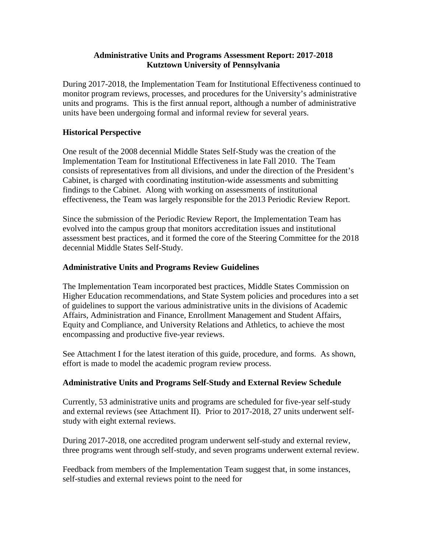## **Administrative Units and Programs Assessment Report: 2017-2018 Kutztown University of Pennsylvania**

During 2017-2018, the Implementation Team for Institutional Effectiveness continued to monitor program reviews, processes, and procedures for the University's administrative units and programs. This is the first annual report, although a number of administrative units have been undergoing formal and informal review for several years.

## **Historical Perspective**

One result of the 2008 decennial Middle States Self-Study was the creation of the Implementation Team for Institutional Effectiveness in late Fall 2010. The Team consists of representatives from all divisions, and under the direction of the President's Cabinet, is charged with coordinating institution-wide assessments and submitting findings to the Cabinet. Along with working on assessments of institutional effectiveness, the Team was largely responsible for the 2013 Periodic Review Report.

Since the submission of the Periodic Review Report, the Implementation Team has evolved into the campus group that monitors accreditation issues and institutional assessment best practices, and it formed the core of the Steering Committee for the 2018 decennial Middle States Self-Study.

## **Administrative Units and Programs Review Guidelines**

The Implementation Team incorporated best practices, Middle States Commission on Higher Education recommendations, and State System policies and procedures into a set of guidelines to support the various administrative units in the divisions of Academic Affairs, Administration and Finance, Enrollment Management and Student Affairs, Equity and Compliance, and University Relations and Athletics, to achieve the most encompassing and productive five-year reviews.

See Attachment I for the latest iteration of this guide, procedure, and forms. As shown, effort is made to model the academic program review process.

## **Administrative Units and Programs Self-Study and External Review Schedule**

Currently, 53 administrative units and programs are scheduled for five-year self-study and external reviews (see Attachment II). Prior to 2017-2018, 27 units underwent selfstudy with eight external reviews.

During 2017-2018, one accredited program underwent self-study and external review, three programs went through self-study, and seven programs underwent external review.

Feedback from members of the Implementation Team suggest that, in some instances, self-studies and external reviews point to the need for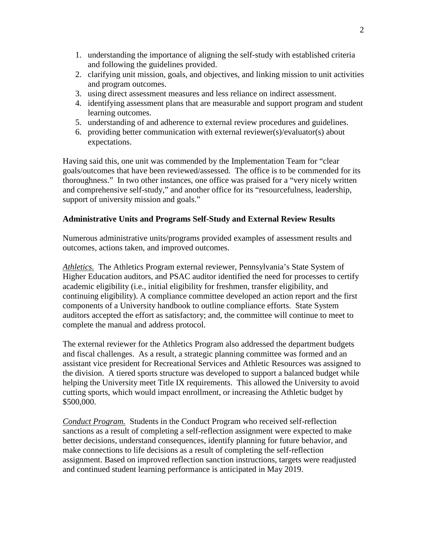- 1. understanding the importance of aligning the self-study with established criteria and following the guidelines provided.
- 2. clarifying unit mission, goals, and objectives, and linking mission to unit activities and program outcomes.
- 3. using direct assessment measures and less reliance on indirect assessment.
- 4. identifying assessment plans that are measurable and support program and student learning outcomes.
- 5. understanding of and adherence to external review procedures and guidelines.
- 6. providing better communication with external reviewer(s)/evaluator(s) about expectations.

Having said this, one unit was commended by the Implementation Team for "clear goals/outcomes that have been reviewed/assessed. The office is to be commended for its thoroughness." In two other instances, one office was praised for a "very nicely written and comprehensive self-study," and another office for its "resourcefulness, leadership, support of university mission and goals."

## **Administrative Units and Programs Self-Study and External Review Results**

Numerous administrative units/programs provided examples of assessment results and outcomes, actions taken, and improved outcomes.

*Athletics.* The Athletics Program external reviewer, Pennsylvania's State System of Higher Education auditors, and PSAC auditor identified the need for processes to certify academic eligibility (i.e., initial eligibility for freshmen, transfer eligibility, and continuing eligibility). A compliance committee developed an action report and the first components of a University handbook to outline compliance efforts. State System auditors accepted the effort as satisfactory; and, the committee will continue to meet to complete the manual and address protocol.

The external reviewer for the Athletics Program also addressed the department budgets and fiscal challenges. As a result, a strategic planning committee was formed and an assistant vice president for Recreational Services and Athletic Resources was assigned to the division. A tiered sports structure was developed to support a balanced budget while helping the University meet Title IX requirements. This allowed the University to avoid cutting sports, which would impact enrollment, or increasing the Athletic budget by \$500,000.

*Conduct Program.* Students in the Conduct Program who received self-reflection sanctions as a result of completing a self-reflection assignment were expected to make better decisions, understand consequences, identify planning for future behavior, and make connections to life decisions as a result of completing the self-reflection assignment. Based on improved reflection sanction instructions, targets were readjusted and continued student learning performance is anticipated in May 2019.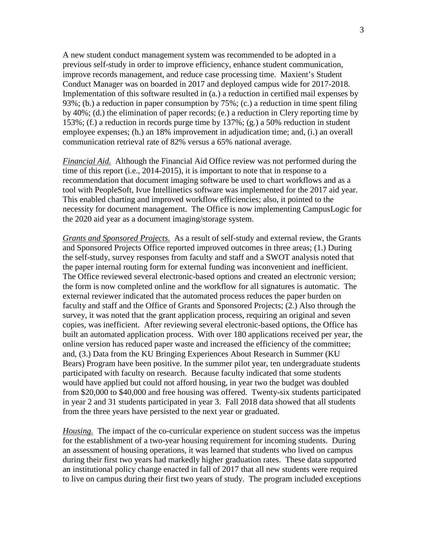A new student conduct management system was recommended to be adopted in a previous self-study in order to improve efficiency, enhance student communication, improve records management, and reduce case processing time. Maxient's Student Conduct Manager was on boarded in 2017 and deployed campus wide for 2017-2018. Implementation of this software resulted in (a.) a reduction in certified mail expenses by 93%; (b.) a reduction in paper consumption by 75%; (c.) a reduction in time spent filing by 40%; (d.) the elimination of paper records; (e.) a reduction in Clery reporting time by 153%; (f.) a reduction in records purge time by 137%; (g.) a 50% reduction in student employee expenses; (h.) an 18% improvement in adjudication time; and, (i.) an overall communication retrieval rate of 82% versus a 65% national average.

*Financial Aid.* Although the Financial Aid Office review was not performed during the time of this report (i.e., 2014-2015), it is important to note that in response to a recommendation that document imaging software be used to chart workflows and as a tool with PeopleSoft, Ivue Intellinetics software was implemented for the 2017 aid year. This enabled charting and improved workflow efficiencies; also, it pointed to the necessity for document management. The Office is now implementing CampusLogic for the 2020 aid year as a document imaging/storage system.

*Grants and Sponsored Projects.* As a result of self-study and external review, the Grants and Sponsored Projects Office reported improved outcomes in three areas; (1.) During the self-study, survey responses from faculty and staff and a SWOT analysis noted that the paper internal routing form for external funding was inconvenient and inefficient. The Office reviewed several electronic-based options and created an electronic version; the form is now completed online and the workflow for all signatures is automatic. The external reviewer indicated that the automated process reduces the paper burden on faculty and staff and the Office of Grants and Sponsored Projects; (2.) Also through the survey, it was noted that the grant application process, requiring an original and seven copies, was inefficient. After reviewing several electronic-based options, the Office has built an automated application process. With over 180 applications received per year, the online version has reduced paper waste and increased the efficiency of the committee; and, (3.) Data from the KU Bringing Experiences About Research in Summer (KU Bears) Program have been positive. In the summer pilot year, ten undergraduate students participated with faculty on research. Because faculty indicated that some students would have applied but could not afford housing, in year two the budget was doubled from \$20,000 to \$40,000 and free housing was offered. Twenty-six students participated in year 2 and 31 students participated in year 3. Fall 2018 data showed that all students from the three years have persisted to the next year or graduated.

*Housing.* The impact of the co-curricular experience on student success was the impetus for the establishment of a two-year housing requirement for incoming students. During an assessment of housing operations, it was learned that students who lived on campus during their first two years had markedly higher graduation rates. These data supported an institutional policy change enacted in fall of 2017 that all new students were required to live on campus during their first two years of study. The program included exceptions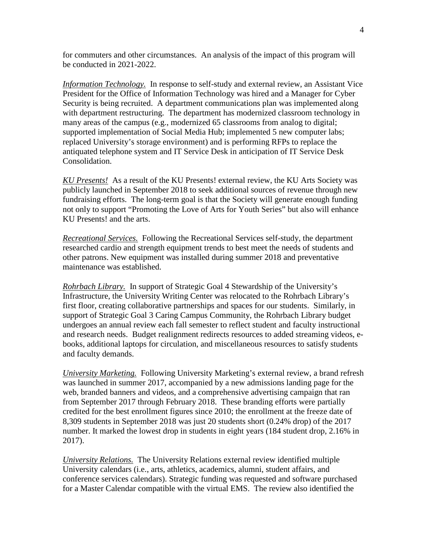for commuters and other circumstances. An analysis of the impact of this program will be conducted in 2021-2022.

*Information Technology.* In response to self-study and external review, an Assistant Vice President for the Office of Information Technology was hired and a Manager for Cyber Security is being recruited. A department communications plan was implemented along with department restructuring. The department has modernized classroom technology in many areas of the campus (e.g., modernized 65 classrooms from analog to digital; supported implementation of Social Media Hub; implemented 5 new computer labs; replaced University's storage environment) and is performing RFPs to replace the antiquated telephone system and IT Service Desk in anticipation of IT Service Desk Consolidation.

*KU Presents!* As a result of the KU Presents! external review, the KU Arts Society was publicly launched in September 2018 to seek additional sources of revenue through new fundraising efforts. The long-term goal is that the Society will generate enough funding not only to support "Promoting the Love of Arts for Youth Series" but also will enhance KU Presents! and the arts.

*Recreational Services.* Following the Recreational Services self-study, the department researched cardio and strength equipment trends to best meet the needs of students and other patrons. New equipment was installed during summer 2018 and preventative maintenance was established.

*Rohrbach Library.* In support of Strategic Goal 4 Stewardship of the University's Infrastructure, the University Writing Center was relocated to the Rohrbach Library's first floor, creating collaborative partnerships and spaces for our students. Similarly, in support of Strategic Goal 3 Caring Campus Community, the Rohrbach Library budget undergoes an annual review each fall semester to reflect student and faculty instructional and research needs. Budget realignment redirects resources to added streaming videos, ebooks, additional laptops for circulation, and miscellaneous resources to satisfy students and faculty demands.

*University Marketing.* Following University Marketing's external review, a brand refresh was launched in summer 2017, accompanied by a new admissions landing page for the web, branded banners and videos, and a comprehensive advertising campaign that ran from September 2017 through February 2018. These branding efforts were partially credited for the best enrollment figures since 2010; the enrollment at the freeze date of 8,309 students in September 2018 was just 20 students short (0.24% drop) of the 2017 number. It marked the lowest drop in students in eight years (184 student drop, 2.16% in 2017).

*University Relations.* The University Relations external review identified multiple University calendars (i.e., arts, athletics, academics, alumni, student affairs, and conference services calendars). Strategic funding was requested and software purchased for a Master Calendar compatible with the virtual EMS. The review also identified the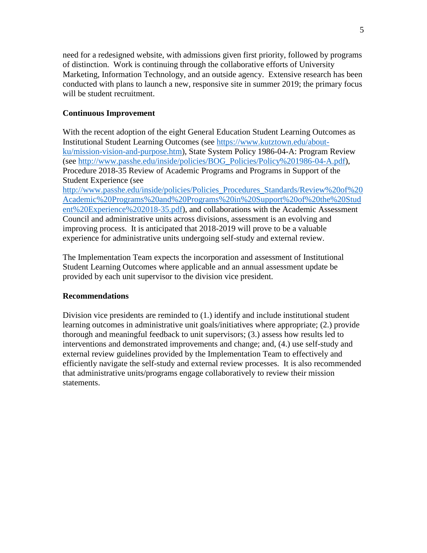need for a redesigned website, with admissions given first priority, followed by programs of distinction. Work is continuing through the collaborative efforts of University Marketing, Information Technology, and an outside agency. Extensive research has been conducted with plans to launch a new, responsive site in summer 2019; the primary focus will be student recruitment.

## **Continuous Improvement**

With the recent adoption of the eight General Education Student Learning Outcomes as Institutional Student Learning Outcomes (see [https://www.kutztown.edu/about](https://www.kutztown.edu/about-ku/mission-vision-and-purpose.htm)[ku/mission-vision-and-purpose.htm\)](https://www.kutztown.edu/about-ku/mission-vision-and-purpose.htm), State System Policy 1986-04-A: Program Review (see [http://www.passhe.edu/inside/policies/BOG\\_Policies/Policy%201986-04-A.pdf\)](http://www.passhe.edu/inside/policies/BOG_Policies/Policy%201986-04-A.pdf), Procedure 2018-35 Review of Academic Programs and Programs in Support of the Student Experience (see [http://www.passhe.edu/inside/policies/Policies\\_Procedures\\_Standards/Review%20of%20](http://www.passhe.edu/inside/policies/Policies_Procedures_Standards/Review%20of%20Academic%20Programs%20and%20Programs%20in%20Support%20of%20the%20Student%20Experience%202018-35.pdf) [Academic%20Programs%20and%20Programs%20in%20Support%20of%20the%20Stud](http://www.passhe.edu/inside/policies/Policies_Procedures_Standards/Review%20of%20Academic%20Programs%20and%20Programs%20in%20Support%20of%20the%20Student%20Experience%202018-35.pdf) [ent%20Experience%202018-35.pdf\)](http://www.passhe.edu/inside/policies/Policies_Procedures_Standards/Review%20of%20Academic%20Programs%20and%20Programs%20in%20Support%20of%20the%20Student%20Experience%202018-35.pdf), and collaborations with the Academic Assessment Council and administrative units across divisions, assessment is an evolving and improving process. It is anticipated that 2018-2019 will prove to be a valuable experience for administrative units undergoing self-study and external review.

The Implementation Team expects the incorporation and assessment of Institutional Student Learning Outcomes where applicable and an annual assessment update be provided by each unit supervisor to the division vice president.

### **Recommendations**

Division vice presidents are reminded to (1.) identify and include institutional student learning outcomes in administrative unit goals/initiatives where appropriate; (2.) provide thorough and meaningful feedback to unit supervisors; (3.) assess how results led to interventions and demonstrated improvements and change; and, (4.) use self-study and external review guidelines provided by the Implementation Team to effectively and efficiently navigate the self-study and external review processes. It is also recommended that administrative units/programs engage collaboratively to review their mission statements.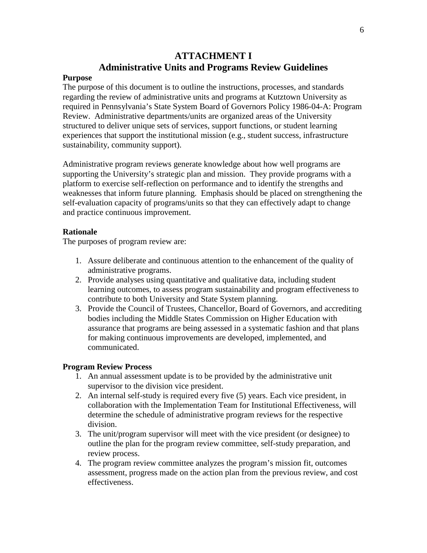# **ATTACHMENT I Administrative Units and Programs Review Guidelines**

#### **Purpose**

The purpose of this document is to outline the instructions, processes, and standards regarding the review of administrative units and programs at Kutztown University as required in Pennsylvania's State System Board of Governors Policy 1986-04-A: Program Review. Administrative departments/units are organized areas of the University structured to deliver unique sets of services, support functions, or student learning experiences that support the institutional mission (e.g., student success, infrastructure sustainability, community support).

Administrative program reviews generate knowledge about how well programs are supporting the University's strategic plan and mission. They provide programs with a platform to exercise self-reflection on performance and to identify the strengths and weaknesses that inform future planning. Emphasis should be placed on strengthening the self-evaluation capacity of programs/units so that they can effectively adapt to change and practice continuous improvement.

#### **Rationale**

The purposes of program review are:

- 1. Assure deliberate and continuous attention to the enhancement of the quality of administrative programs.
- 2. Provide analyses using quantitative and qualitative data, including student learning outcomes, to assess program sustainability and program effectiveness to contribute to both University and State System planning.
- 3. Provide the Council of Trustees, Chancellor, Board of Governors, and accrediting bodies including the Middle States Commission on Higher Education with assurance that programs are being assessed in a systematic fashion and that plans for making continuous improvements are developed, implemented, and communicated.

#### **Program Review Process**

- 1. An annual assessment update is to be provided by the administrative unit supervisor to the division vice president.
- 2. An internal self-study is required every five (5) years. Each vice president, in collaboration with the Implementation Team for Institutional Effectiveness, will determine the schedule of administrative program reviews for the respective division.
- 3. The unit/program supervisor will meet with the vice president (or designee) to outline the plan for the program review committee, self-study preparation, and review process.
- 4. The program review committee analyzes the program's mission fit, outcomes assessment, progress made on the action plan from the previous review, and cost effectiveness.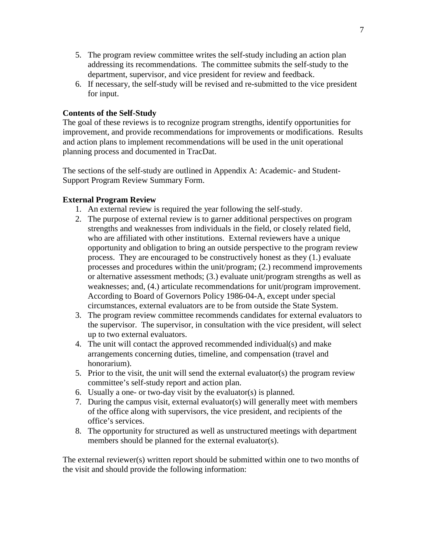- 5. The program review committee writes the self-study including an action plan addressing its recommendations. The committee submits the self-study to the department, supervisor, and vice president for review and feedback.
- 6. If necessary, the self-study will be revised and re-submitted to the vice president for input.

## **Contents of the Self-Study**

The goal of these reviews is to recognize program strengths, identify opportunities for improvement, and provide recommendations for improvements or modifications. Results and action plans to implement recommendations will be used in the unit operational planning process and documented in TracDat.

The sections of the self-study are outlined in Appendix A: Academic- and Student-Support Program Review Summary Form.

### **External Program Review**

- 1. An external review is required the year following the self-study.
- 2. The purpose of external review is to garner additional perspectives on program strengths and weaknesses from individuals in the field, or closely related field, who are affiliated with other institutions. External reviewers have a unique opportunity and obligation to bring an outside perspective to the program review process. They are encouraged to be constructively honest as they (1.) evaluate processes and procedures within the unit/program; (2.) recommend improvements or alternative assessment methods; (3.) evaluate unit/program strengths as well as weaknesses; and, (4.) articulate recommendations for unit/program improvement. According to Board of Governors Policy 1986-04-A, except under special circumstances, external evaluators are to be from outside the State System.
- 3. The program review committee recommends candidates for external evaluators to the supervisor. The supervisor, in consultation with the vice president, will select up to two external evaluators.
- 4. The unit will contact the approved recommended individual(s) and make arrangements concerning duties, timeline, and compensation (travel and honorarium).
- 5. Prior to the visit, the unit will send the external evaluator(s) the program review committee's self-study report and action plan.
- 6. Usually a one- or two-day visit by the evaluator(s) is planned.
- 7. During the campus visit, external evaluator(s) will generally meet with members of the office along with supervisors, the vice president, and recipients of the office's services.
- 8. The opportunity for structured as well as unstructured meetings with department members should be planned for the external evaluator(s).

The external reviewer(s) written report should be submitted within one to two months of the visit and should provide the following information: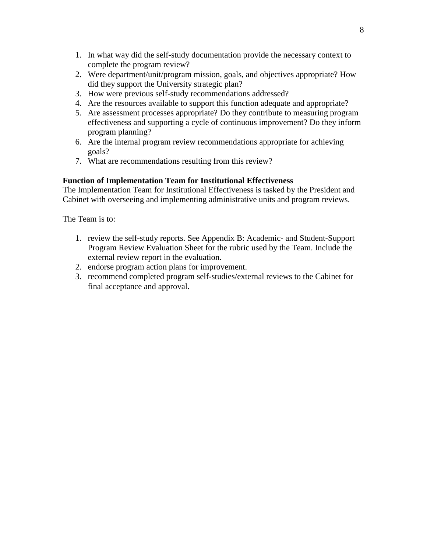- 1. In what way did the self-study documentation provide the necessary context to complete the program review?
- 2. Were department/unit/program mission, goals, and objectives appropriate? How did they support the University strategic plan?
- 3. How were previous self-study recommendations addressed?
- 4. Are the resources available to support this function adequate and appropriate?
- 5. Are assessment processes appropriate? Do they contribute to measuring program effectiveness and supporting a cycle of continuous improvement? Do they inform program planning?
- 6. Are the internal program review recommendations appropriate for achieving goals?
- 7. What are recommendations resulting from this review?

## **Function of Implementation Team for Institutional Effectiveness**

The Implementation Team for Institutional Effectiveness is tasked by the President and Cabinet with overseeing and implementing administrative units and program reviews.

The Team is to:

- 1. review the self-study reports. See Appendix B: Academic- and Student-Support Program Review Evaluation Sheet for the rubric used by the Team. Include the external review report in the evaluation.
- 2. endorse program action plans for improvement.
- 3. recommend completed program self-studies/external reviews to the Cabinet for final acceptance and approval.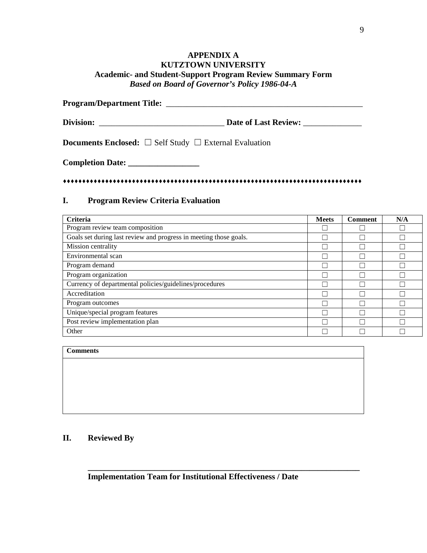## **APPENDIX A KUTZTOWN UNIVERSITY Academic- and Student-Support Program Review Summary Form**  *Based on Board of Governor's Policy 1986-04-A*

**Program/Department Title:** *\_\_\_\_\_\_\_\_\_\_\_\_\_\_\_\_\_\_\_\_\_\_\_\_\_\_\_\_\_\_\_\_\_\_\_\_\_\_\_\_\_\_\_\_\_\_\_* **Division:** *\_\_\_\_\_\_\_\_\_\_\_\_\_\_\_\_\_\_\_\_\_\_\_\_\_\_\_\_\_\_* **Date of Last Review:** *\_\_\_\_\_\_\_\_\_\_\_\_\_\_* **Documents Enclosed:** ☐ Self Study ☐ External Evaluation **Completion Date: \_\_\_\_\_\_\_\_\_\_\_\_\_\_\_\_\_**

### **I. Program Review Criteria Evaluation**

| Criteria                                                          | <b>Meets</b> | <b>Comment</b> | N/A |
|-------------------------------------------------------------------|--------------|----------------|-----|
| Program review team composition                                   |              |                |     |
| Goals set during last review and progress in meeting those goals. |              |                |     |
| Mission centrality                                                |              |                |     |
| Environmental scan                                                |              |                |     |
| Program demand                                                    |              |                |     |
| Program organization                                              |              |                |     |
| Currency of departmental policies/guidelines/procedures           |              |                | e i |
| Accreditation                                                     |              |                |     |
| Program outcomes                                                  |              |                |     |
| Unique/special program features                                   |              |                |     |
| Post review implementation plan                                   | Ξ            |                |     |
| Other                                                             |              |                |     |

#### **Comments**

## **II. Reviewed By**

**\_\_\_\_\_\_\_\_\_\_\_\_\_\_\_\_\_\_\_\_\_\_\_\_\_\_\_\_\_\_\_\_\_\_\_\_\_\_\_\_\_\_\_\_\_\_\_\_\_\_\_\_\_\_\_\_\_\_\_\_\_\_\_\_\_**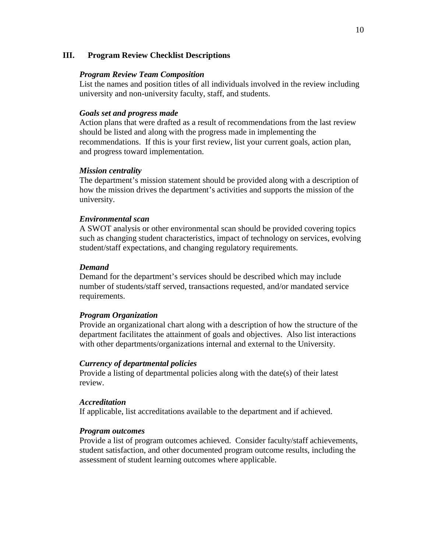#### **III. Program Review Checklist Descriptions**

#### *Program Review Team Composition*

List the names and position titles of all individuals involved in the review including university and non-university faculty, staff, and students.

#### *Goals set and progress made*

Action plans that were drafted as a result of recommendations from the last review should be listed and along with the progress made in implementing the recommendations. If this is your first review, list your current goals, action plan, and progress toward implementation.

#### *Mission centrality*

The department's mission statement should be provided along with a description of how the mission drives the department's activities and supports the mission of the university.

#### *Environmental scan*

A SWOT analysis or other environmental scan should be provided covering topics such as changing student characteristics, impact of technology on services, evolving student/staff expectations, and changing regulatory requirements.

#### *Demand*

Demand for the department's services should be described which may include number of students/staff served, transactions requested, and/or mandated service requirements.

#### *Program Organization*

Provide an organizational chart along with a description of how the structure of the department facilitates the attainment of goals and objectives. Also list interactions with other departments/organizations internal and external to the University.

#### *Currency of departmental policies*

Provide a listing of departmental policies along with the date(s) of their latest review.

#### *Accreditation*

If applicable, list accreditations available to the department and if achieved.

#### *Program outcomes*

Provide a list of program outcomes achieved. Consider faculty/staff achievements, student satisfaction, and other documented program outcome results, including the assessment of student learning outcomes where applicable.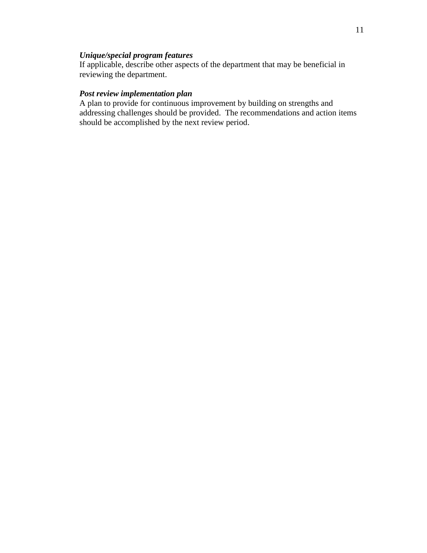## *Unique/special program features*

If applicable, describe other aspects of the department that may be beneficial in reviewing the department.

## *Post review implementation plan*

A plan to provide for continuous improvement by building on strengths and addressing challenges should be provided. The recommendations and action items should be accomplished by the next review period.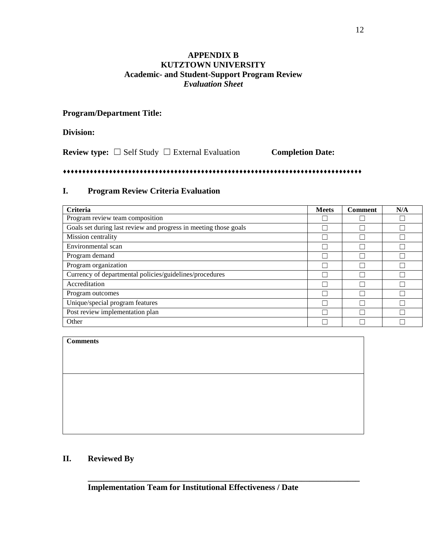## **APPENDIX B KUTZTOWN UNIVERSITY Academic- and Student-Support Program Review**  *Evaluation Sheet*

## **Program/Department Title:**

## **Division:**

**Review type:** ☐ Self Study ☐ External Evaluation **Completion Date:**

## 

## **I. Program Review Criteria Evaluation**

| Criteria                                                         | <b>Meets</b> | <b>Comment</b> | N/A |
|------------------------------------------------------------------|--------------|----------------|-----|
| Program review team composition                                  |              |                |     |
| Goals set during last review and progress in meeting those goals |              |                |     |
| Mission centrality                                               |              |                |     |
| Environmental scan                                               |              |                |     |
| Program demand                                                   |              |                |     |
| Program organization                                             |              |                |     |
| Currency of departmental policies/guidelines/procedures          |              |                |     |
| Accreditation                                                    |              |                |     |
| Program outcomes                                                 |              |                |     |
| Unique/special program features                                  |              |                |     |
| Post review implementation plan                                  |              |                |     |
| Other                                                            |              |                |     |

#### **Comments**

**\_\_\_\_\_\_\_\_\_\_\_\_\_\_\_\_\_\_\_\_\_\_\_\_\_\_\_\_\_\_\_\_\_\_\_\_\_\_\_\_\_\_\_\_\_\_\_\_\_\_\_\_\_\_\_\_\_\_\_\_\_\_\_\_\_**

## **II. Reviewed By**

**Implementation Team for Institutional Effectiveness / Date**